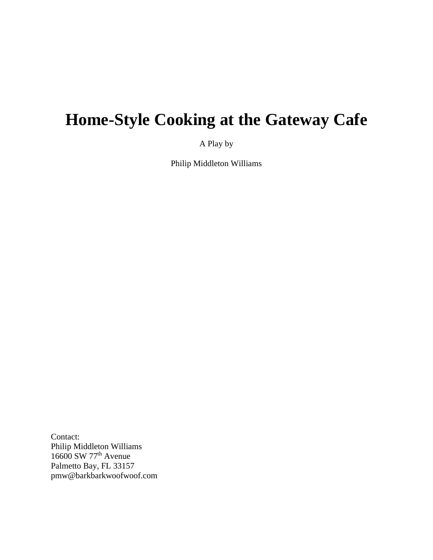# **Home-Style Cooking at the Gateway Cafe**

A Play by

Philip Middleton Williams

Contact: Philip Middleton Williams 16600 SW 77<sup>th</sup> Avenue Palmetto Bay, FL 33157 pmw@barkbarkwoofwoof.com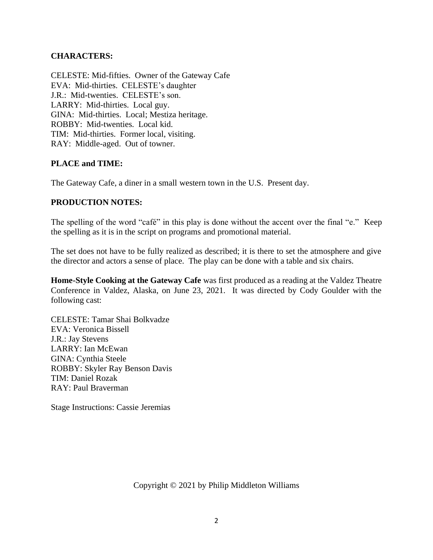## **CHARACTERS:**

CELESTE: Mid-fifties. Owner of the Gateway Cafe EVA: Mid-thirties. CELESTE's daughter J.R.: Mid-twenties. CELESTE's son. LARRY: Mid-thirties. Local guy. GINA: Mid-thirties. Local; Mestiza heritage. ROBBY: Mid-twenties. Local kid. TIM: Mid-thirties. Former local, visiting. RAY: Middle-aged. Out of towner.

### **PLACE and TIME:**

The Gateway Cafe, a diner in a small western town in the U.S. Present day.

### **PRODUCTION NOTES:**

The spelling of the word "café" in this play is done without the accent over the final "e." Keep the spelling as it is in the script on programs and promotional material.

The set does not have to be fully realized as described; it is there to set the atmosphere and give the director and actors a sense of place. The play can be done with a table and six chairs.

**Home-Style Cooking at the Gateway Cafe** was first produced as a reading at the Valdez Theatre Conference in Valdez, Alaska, on June 23, 2021. It was directed by Cody Goulder with the following cast:

CELESTE: Tamar Shai Bolkvadze EVA: Veronica Bissell J.R.: Jay Stevens LARRY: Ian McEwan GINA: Cynthia Steele ROBBY: Skyler Ray Benson Davis TIM: Daniel Rozak RAY: Paul Braverman

Stage Instructions: Cassie Jeremias

Copyright © 2021 by Philip Middleton Williams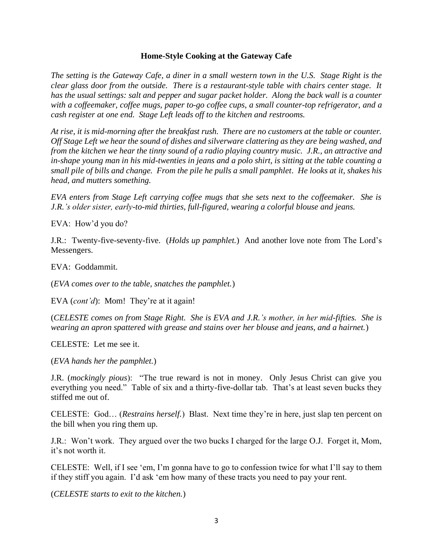#### **Home-Style Cooking at the Gateway Cafe**

*The setting is the Gateway Cafe, a diner in a small western town in the U.S. Stage Right is the clear glass door from the outside. There is a restaurant-style table with chairs center stage. It has the usual settings: salt and pepper and sugar packet holder. Along the back wall is a counter with a coffeemaker, coffee mugs, paper to-go coffee cups, a small counter-top refrigerator, and a cash register at one end. Stage Left leads off to the kitchen and restrooms.*

*At rise, it is mid-morning after the breakfast rush. There are no customers at the table or counter. Off Stage Left we hear the sound of dishes and silverware clattering as they are being washed, and from the kitchen we hear the tinny sound of a radio playing country music. J.R., an attractive and in-shape young man in his mid-twenties in jeans and a polo shirt, is sitting at the table counting a small pile of bills and change. From the pile he pulls a small pamphlet. He looks at it, shakes his head, and mutters something.*

*EVA enters from Stage Left carrying coffee mugs that she sets next to the coffeemaker. She is J.R.'s older sister, early-to-mid thirties, full-figured, wearing a colorful blouse and jeans.*

EVA: How'd you do?

J.R.: Twenty-five-seventy-five. (*Holds up pamphlet.*) And another love note from The Lord's Messengers.

EVA: Goddammit.

(*EVA comes over to the table, snatches the pamphlet.*)

EVA (*cont'd*): Mom! They're at it again!

(*CELESTE comes on from Stage Right. She is EVA and J.R.'s mother, in her mid-fifties. She is wearing an apron spattered with grease and stains over her blouse and jeans, and a hairnet.*)

CELESTE: Let me see it.

(*EVA hands her the pamphlet.*)

J.R. (*mockingly pious*): "The true reward is not in money. Only Jesus Christ can give you everything you need." Table of six and a thirty-five-dollar tab. That's at least seven bucks they stiffed me out of.

CELESTE: God… (*Restrains herself.*) Blast. Next time they're in here, just slap ten percent on the bill when you ring them up.

J.R.: Won't work. They argued over the two bucks I charged for the large O.J. Forget it, Mom, it's not worth it.

CELESTE: Well, if I see 'em, I'm gonna have to go to confession twice for what I'll say to them if they stiff you again. I'd ask 'em how many of these tracts you need to pay your rent.

(*CELESTE starts to exit to the kitchen.*)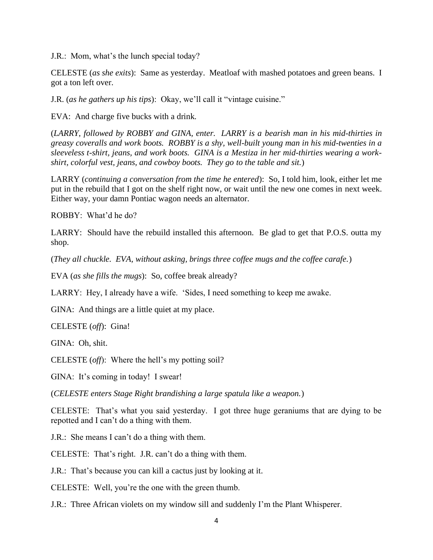J.R.: Mom, what's the lunch special today?

CELESTE (*as she exits*): Same as yesterday. Meatloaf with mashed potatoes and green beans. I got a ton left over.

J.R. (*as he gathers up his tips*): Okay, we'll call it "vintage cuisine."

EVA: And charge five bucks with a drink.

(*LARRY, followed by ROBBY and GINA, enter. LARRY is a bearish man in his mid-thirties in greasy coveralls and work boots. ROBBY is a shy, well-built young man in his mid-twenties in a sleeveless t-shirt, jeans, and work boots. GINA is a Mestiza in her mid-thirties wearing a workshirt, colorful vest, jeans, and cowboy boots. They go to the table and sit.*)

LARRY (*continuing a conversation from the time he entered*): So, I told him, look, either let me put in the rebuild that I got on the shelf right now, or wait until the new one comes in next week. Either way, your damn Pontiac wagon needs an alternator.

ROBBY: What'd he do?

LARRY: Should have the rebuild installed this afternoon. Be glad to get that P.O.S. outta my shop.

(*They all chuckle. EVA, without asking, brings three coffee mugs and the coffee carafe.*)

EVA (*as she fills the mugs*): So, coffee break already?

LARRY: Hey, I already have a wife. 'Sides, I need something to keep me awake.

GINA: And things are a little quiet at my place.

CELESTE (*off*): Gina!

GINA: Oh, shit.

CELESTE (*off*): Where the hell's my potting soil?

GINA: It's coming in today! I swear!

(*CELESTE enters Stage Right brandishing a large spatula like a weapon.*)

CELESTE: That's what you said yesterday. I got three huge geraniums that are dying to be repotted and I can't do a thing with them.

J.R.: She means I can't do a thing with them.

CELESTE: That's right. J.R. can't do a thing with them.

J.R.: That's because you can kill a cactus just by looking at it.

CELESTE: Well, you're the one with the green thumb.

J.R.: Three African violets on my window sill and suddenly I'm the Plant Whisperer.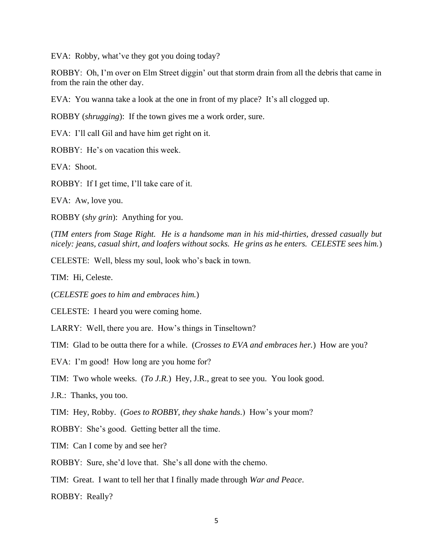EVA: Robby, what've they got you doing today?

ROBBY: Oh, I'm over on Elm Street diggin' out that storm drain from all the debris that came in from the rain the other day.

EVA: You wanna take a look at the one in front of my place? It's all clogged up.

ROBBY (*shrugging*): If the town gives me a work order, sure.

EVA: I'll call Gil and have him get right on it.

ROBBY: He's on vacation this week.

EVA: Shoot.

ROBBY: If I get time, I'll take care of it.

EVA: Aw, love you.

ROBBY (*shy grin*): Anything for you.

(*TIM enters from Stage Right. He is a handsome man in his mid-thirties, dressed casually but nicely: jeans, casual shirt, and loafers without socks. He grins as he enters. CELESTE sees him.*)

CELESTE: Well, bless my soul, look who's back in town.

TIM: Hi, Celeste.

(*CELESTE goes to him and embraces him.*)

CELESTE: I heard you were coming home.

LARRY: Well, there you are. How's things in Tinseltown?

TIM: Glad to be outta there for a while. (*Crosses to EVA and embraces her.*) How are you?

EVA: I'm good! How long are you home for?

TIM: Two whole weeks. (*To J.R.*) Hey, J.R., great to see you. You look good.

J.R.: Thanks, you too.

TIM: Hey, Robby. (*Goes to ROBBY, they shake hands.*) How's your mom?

ROBBY: She's good. Getting better all the time.

TIM: Can I come by and see her?

ROBBY: Sure, she'd love that. She's all done with the chemo.

TIM: Great. I want to tell her that I finally made through *War and Peace*.

ROBBY: Really?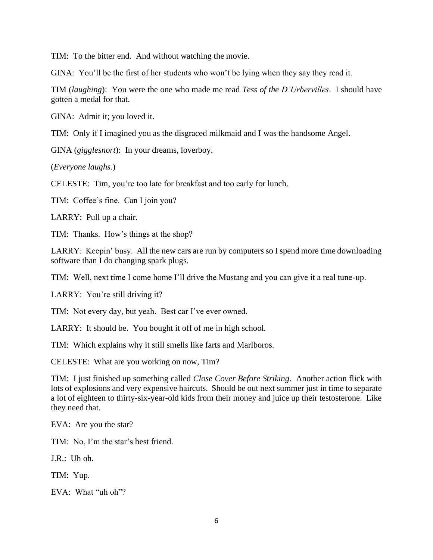TIM: To the bitter end. And without watching the movie.

GINA: You'll be the first of her students who won't be lying when they say they read it.

TIM (*laughing*): You were the one who made me read *Tess of the D'Urbervilles*. I should have gotten a medal for that.

GINA: Admit it; you loved it.

TIM: Only if I imagined you as the disgraced milkmaid and I was the handsome Angel.

GINA (*gigglesnort*): In your dreams, loverboy.

(*Everyone laughs.*)

CELESTE: Tim, you're too late for breakfast and too early for lunch.

TIM: Coffee's fine. Can I join you?

LARRY: Pull up a chair.

TIM: Thanks. How's things at the shop?

LARRY: Keepin' busy. All the new cars are run by computers so I spend more time downloading software than I do changing spark plugs.

TIM: Well, next time I come home I'll drive the Mustang and you can give it a real tune-up.

LARRY: You're still driving it?

TIM: Not every day, but yeah. Best car I've ever owned.

LARRY: It should be. You bought it off of me in high school.

TIM: Which explains why it still smells like farts and Marlboros.

CELESTE: What are you working on now, Tim?

TIM: I just finished up something called *Close Cover Before Striking*. Another action flick with lots of explosions and very expensive haircuts. Should be out next summer just in time to separate a lot of eighteen to thirty-six-year-old kids from their money and juice up their testosterone. Like they need that.

EVA: Are you the star?

TIM: No, I'm the star's best friend.

J.R.: Uh oh.

TIM: Yup.

EVA: What "uh oh"?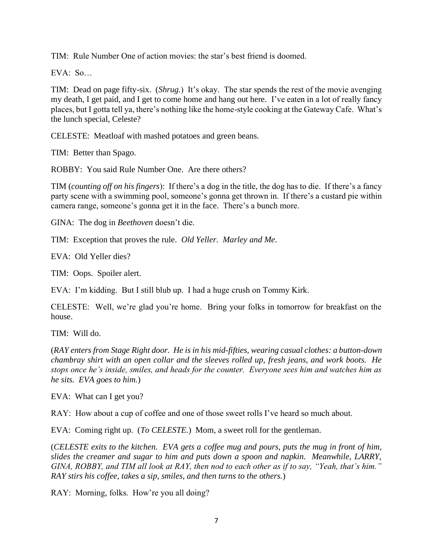TIM: Rule Number One of action movies: the star's best friend is doomed.

EVA: So…

TIM: Dead on page fifty-six. (*Shrug.*) It's okay. The star spends the rest of the movie avenging my death, I get paid, and I get to come home and hang out here. I've eaten in a lot of really fancy places, but I gotta tell ya, there's nothing like the home-style cooking at the Gateway Cafe. What's the lunch special, Celeste?

CELESTE: Meatloaf with mashed potatoes and green beans.

TIM: Better than Spago.

ROBBY: You said Rule Number One. Are there others?

TIM (*counting off on his fingers*): If there's a dog in the title, the dog has to die. If there's a fancy party scene with a swimming pool, someone's gonna get thrown in. If there's a custard pie within camera range, someone's gonna get it in the face. There's a bunch more.

GINA: The dog in *Beethoven* doesn't die.

TIM: Exception that proves the rule. *Old Yeller*. *Marley and Me*.

EVA: Old Yeller dies?

TIM: Oops. Spoiler alert.

EVA: I'm kidding. But I still blub up. I had a huge crush on Tommy Kirk.

CELESTE: Well, we're glad you're home. Bring your folks in tomorrow for breakfast on the house.

TIM: Will do.

(*RAY enters from Stage Right door. He is in his mid-fifties, wearing casual clothes: a button-down chambray shirt with an open collar and the sleeves rolled up, fresh jeans, and work boots. He stops once he's inside, smiles, and heads for the counter. Everyone sees him and watches him as he sits. EVA goes to him.*)

EVA: What can I get you?

RAY: How about a cup of coffee and one of those sweet rolls I've heard so much about.

EVA: Coming right up. (*To CELESTE.*) Mom, a sweet roll for the gentleman.

(*CELESTE exits to the kitchen. EVA gets a coffee mug and pours, puts the mug in front of him, slides the creamer and sugar to him and puts down a spoon and napkin. Meanwhile, LARRY, GINA, ROBBY, and TIM all look at RAY, then nod to each other as if to say, "Yeah, that's him." RAY stirs his coffee, takes a sip, smiles, and then turns to the others.*)

RAY: Morning, folks. How're you all doing?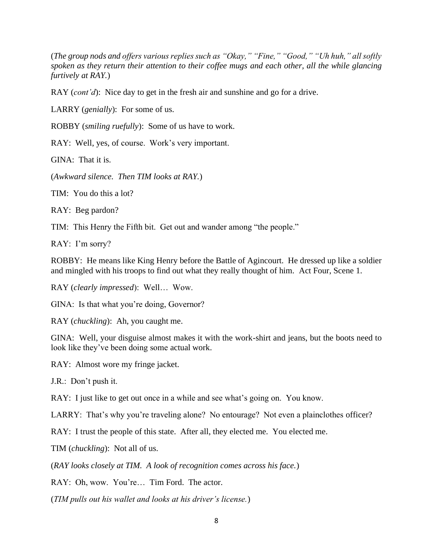(*The group nods and offers various replies such as "Okay," "Fine," "Good," "Uh huh," all softly spoken as they return their attention to their coffee mugs and each other, all the while glancing furtively at RAY.*)

RAY (*cont'd*): Nice day to get in the fresh air and sunshine and go for a drive.

LARRY (*genially*): For some of us.

ROBBY (*smiling ruefully*): Some of us have to work.

RAY: Well, yes, of course. Work's very important.

GINA: That it is.

(*Awkward silence. Then TIM looks at RAY.*)

TIM: You do this a lot?

RAY: Beg pardon?

TIM: This Henry the Fifth bit. Get out and wander among "the people."

RAY: I'm sorry?

ROBBY: He means like King Henry before the Battle of Agincourt. He dressed up like a soldier and mingled with his troops to find out what they really thought of him. Act Four, Scene 1.

RAY (*clearly impressed*): Well… Wow.

GINA: Is that what you're doing, Governor?

RAY (*chuckling*): Ah, you caught me.

GINA: Well, your disguise almost makes it with the work-shirt and jeans, but the boots need to look like they've been doing some actual work.

RAY: Almost wore my fringe jacket.

J.R.: Don't push it.

RAY: I just like to get out once in a while and see what's going on. You know.

LARRY: That's why you're traveling alone? No entourage? Not even a plainclothes officer?

RAY: I trust the people of this state. After all, they elected me. You elected me.

TIM (*chuckling*): Not all of us.

(*RAY looks closely at TIM. A look of recognition comes across his face.*)

RAY: Oh, wow. You're… Tim Ford. The actor.

(*TIM pulls out his wallet and looks at his driver's license.*)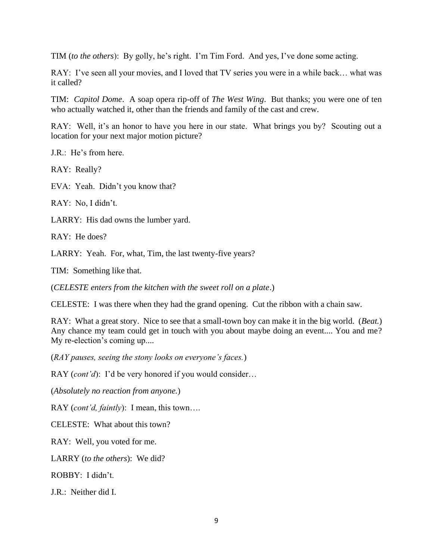TIM (*to the others*): By golly, he's right. I'm Tim Ford. And yes, I've done some acting.

RAY: I've seen all your movies, and I loved that TV series you were in a while back… what was it called?

TIM: *Capitol Dome*. A soap opera rip-off of *The West Wing*. But thanks; you were one of ten who actually watched it, other than the friends and family of the cast and crew.

RAY: Well, it's an honor to have you here in our state. What brings you by? Scouting out a location for your next major motion picture?

J.R.: He's from here.

RAY: Really?

EVA: Yeah. Didn't you know that?

RAY: No, I didn't.

LARRY: His dad owns the lumber yard.

RAY: He does?

LARRY: Yeah. For, what, Tim, the last twenty-five years?

TIM: Something like that.

(*CELESTE enters from the kitchen with the sweet roll on a plate*.)

CELESTE: I was there when they had the grand opening. Cut the ribbon with a chain saw.

RAY: What a great story. Nice to see that a small-town boy can make it in the big world. (*Beat.*) Any chance my team could get in touch with you about maybe doing an event.... You and me? My re-election's coming up....

(*RAY pauses, seeing the stony looks on everyone's faces.*)

RAY (*cont'd*): I'd be very honored if you would consider…

(*Absolutely no reaction from anyone.*)

RAY (*cont'd, faintly*): I mean, this town….

CELESTE: What about this town?

RAY: Well, you voted for me.

LARRY (*to the others*): We did?

ROBBY: I didn't.

J.R.: Neither did I.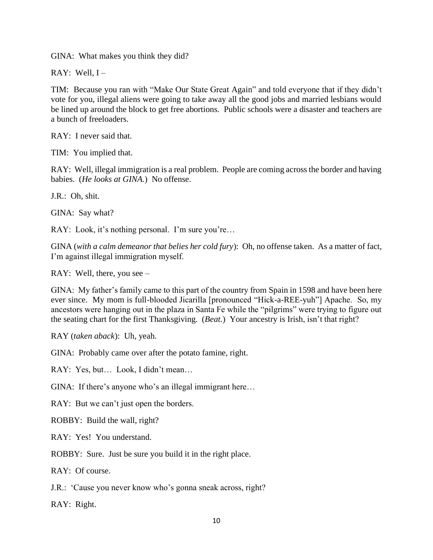GINA: What makes you think they did?

RAY: Well,  $I -$ 

TIM: Because you ran with "Make Our State Great Again" and told everyone that if they didn't vote for you, illegal aliens were going to take away all the good jobs and married lesbians would be lined up around the block to get free abortions. Public schools were a disaster and teachers are a bunch of freeloaders.

RAY: I never said that.

TIM: You implied that.

RAY: Well, illegal immigration is a real problem. People are coming across the border and having babies. (*He looks at GINA.*) No offense.

J.R.: Oh, shit.

GINA: Say what?

RAY: Look, it's nothing personal. I'm sure you're...

GINA (*with a calm demeanor that belies her cold fury*): Oh, no offense taken. As a matter of fact, I'm against illegal immigration myself.

RAY: Well, there, you see –

GINA: My father's family came to this part of the country from Spain in 1598 and have been here ever since. My mom is full-blooded Jicarilla [pronounced "Hick-a-REE-yuh"] Apache. So, my ancestors were hanging out in the plaza in Santa Fe while the "pilgrims" were trying to figure out the seating chart for the first Thanksgiving. (*Beat.*) Your ancestry is Irish, isn't that right?

RAY (*taken aback*): Uh, yeah.

GINA: Probably came over after the potato famine, right.

RAY: Yes, but… Look, I didn't mean…

GINA: If there's anyone who's an illegal immigrant here…

RAY: But we can't just open the borders.

ROBBY: Build the wall, right?

RAY: Yes! You understand.

ROBBY: Sure. Just be sure you build it in the right place.

RAY: Of course.

J.R.: 'Cause you never know who's gonna sneak across, right?

RAY: Right.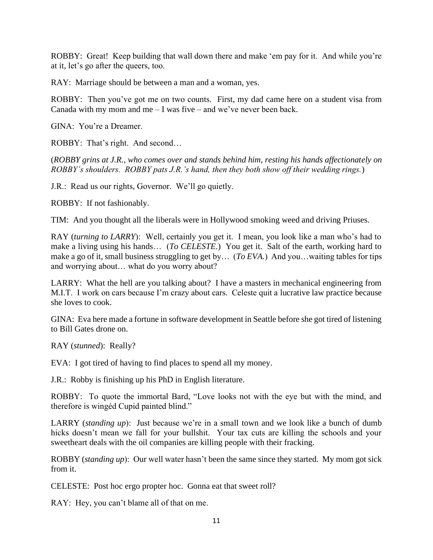ROBBY: Great! Keep building that wall down there and make 'em pay for it. And while you're at it, let's go after the queers, too.

RAY: Marriage should be between a man and a woman, yes.

ROBBY: Then you've got me on two counts. First, my dad came here on a student visa from Canada with my mom and me  $-1$  was five – and we've never been back.

GINA: You're a Dreamer.

ROBBY: That's right. And second…

(*ROBBY grins at J.R., who comes over and stands behind him, resting his hands affectionately on ROBBY's shoulders. ROBBY pats J.R.'s hand, then they both show off their wedding rings.*)

J.R.: Read us our rights, Governor. We'll go quietly.

ROBBY: If not fashionably.

TIM: And you thought all the liberals were in Hollywood smoking weed and driving Priuses.

RAY (*turning to LARRY*): Well, certainly you get it. I mean, you look like a man who's had to make a living using his hands… (*To CELESTE.*) You get it. Salt of the earth, working hard to make a go of it, small business struggling to get by… (*To EVA.*) And you…waiting tables for tips and worrying about… what do you worry about?

LARRY: What the hell are you talking about? I have a masters in mechanical engineering from M.I.T. I work on cars because I'm crazy about cars. Celeste quit a lucrative law practice because she loves to cook.

GINA: Eva here made a fortune in software development in Seattle before she got tired of listening to Bill Gates drone on.

RAY (*stunned*): Really?

EVA: I got tired of having to find places to spend all my money.

J.R.: Robby is finishing up his PhD in English literature.

ROBBY: To quote the immortal Bard, "Love looks not with the eye but with the mind, and therefore is wingéd Cupid painted blind."

LARRY (*standing up*): Just because we're in a small town and we look like a bunch of dumb hicks doesn't mean we fall for your bullshit. Your tax cuts are killing the schools and your sweetheart deals with the oil companies are killing people with their fracking.

ROBBY (*standing up*): Our well water hasn't been the same since they started. My mom got sick from it.

CELESTE: Post hoc ergo propter hoc. Gonna eat that sweet roll?

RAY: Hey, you can't blame all of that on me.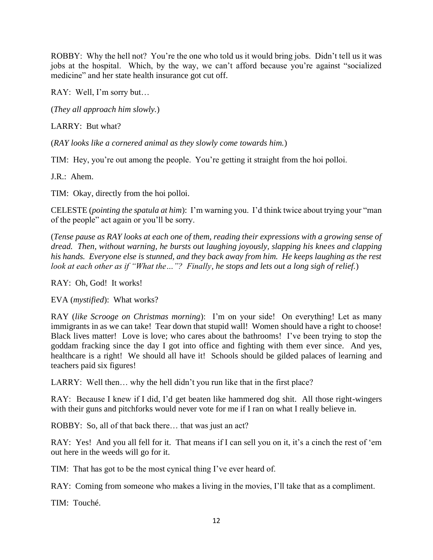ROBBY: Why the hell not? You're the one who told us it would bring jobs. Didn't tell us it was jobs at the hospital. Which, by the way, we can't afford because you're against "socialized medicine" and her state health insurance got cut off.

RAY: Well, I'm sorry but…

(*They all approach him slowly.*)

LARRY: But what?

(*RAY looks like a cornered animal as they slowly come towards him.*)

TIM: Hey, you're out among the people. You're getting it straight from the hoi polloi.

J.R.: Ahem.

TIM: Okay, directly from the hoi polloi.

CELESTE (*pointing the spatula at him*): I'm warning you. I'd think twice about trying your "man of the people" act again or you'll be sorry.

(*Tense pause as RAY looks at each one of them, reading their expressions with a growing sense of dread. Then, without warning, he bursts out laughing joyously, slapping his knees and clapping his hands. Everyone else is stunned, and they back away from him. He keeps laughing as the rest look at each other as if "What the…"? Finally, he stops and lets out a long sigh of relief.*)

RAY: Oh, God! It works!

EVA (*mystified*): What works?

RAY (*like Scrooge on Christmas morning*): I'm on your side! On everything! Let as many immigrants in as we can take! Tear down that stupid wall! Women should have a right to choose! Black lives matter! Love is love; who cares about the bathrooms! I've been trying to stop the goddam fracking since the day I got into office and fighting with them ever since. And yes, healthcare is a right! We should all have it! Schools should be gilded palaces of learning and teachers paid six figures!

LARRY: Well then... why the hell didn't you run like that in the first place?

RAY: Because I knew if I did, I'd get beaten like hammered dog shit. All those right-wingers with their guns and pitchforks would never vote for me if I ran on what I really believe in.

ROBBY: So, all of that back there… that was just an act?

RAY: Yes! And you all fell for it. That means if I can sell you on it, it's a cinch the rest of 'em out here in the weeds will go for it.

TIM: That has got to be the most cynical thing I've ever heard of.

RAY: Coming from someone who makes a living in the movies, I'll take that as a compliment.

TIM: Touché.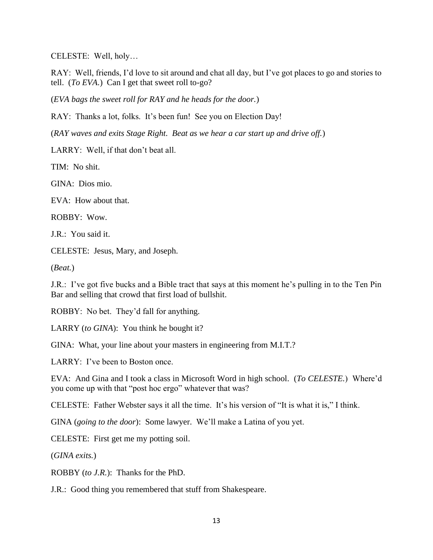CELESTE: Well, holy…

RAY: Well, friends, I'd love to sit around and chat all day, but I've got places to go and stories to tell. (*To EVA.*) Can I get that sweet roll to-go?

(*EVA bags the sweet roll for RAY and he heads for the door.*)

RAY: Thanks a lot, folks. It's been fun! See you on Election Day!

(*RAY waves and exits Stage Right. Beat as we hear a car start up and drive off.*)

LARRY: Well, if that don't beat all.

TIM: No shit.

GINA: Dios mio.

EVA: How about that.

ROBBY: Wow.

J.R.: You said it.

CELESTE: Jesus, Mary, and Joseph.

(*Beat.*)

J.R.: I've got five bucks and a Bible tract that says at this moment he's pulling in to the Ten Pin Bar and selling that crowd that first load of bullshit.

ROBBY: No bet. They'd fall for anything.

LARRY (*to GINA*): You think he bought it?

GINA: What, your line about your masters in engineering from M.I.T.?

LARRY: I've been to Boston once.

EVA: And Gina and I took a class in Microsoft Word in high school. (*To CELESTE.*) Where'd you come up with that "post hoc ergo" whatever that was?

CELESTE: Father Webster says it all the time. It's his version of "It is what it is," I think.

GINA (*going to the door*): Some lawyer. We'll make a Latina of you yet.

CELESTE: First get me my potting soil.

(*GINA exits.*)

ROBBY (*to J.R.*): Thanks for the PhD.

J.R.: Good thing you remembered that stuff from Shakespeare.